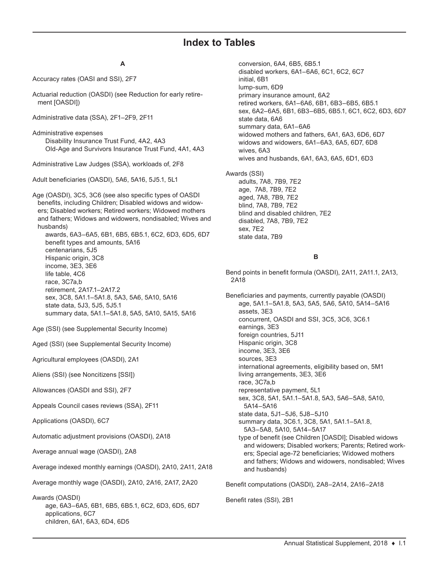# **Index to Tables**

# **A**

Accuracy rates (OASI and SSI), 2F7

Actuarial reduction (OASDI) (see Reduction for early retirement [OASDI])

Administrative data (SSA), 2F1–2F9, 2F11

Administrative expenses Disability Insurance Trust Fund, 4A2, 4A3 Old-Age and Survivors Insurance Trust Fund, 4A1, 4A3

Administrative Law Judges (SSA), workloads of, 2F8

Adult beneficiaries (OASDI), 5A6, 5A16, 5J5.1, 5L1

Age (OASDI), 3C5, 3C6 (see also specific types of OASDI benefits, including Children; Disabled widows and widowers; Disabled workers; Retired workers; Widowed mothers and fathers; Widows and widowers, nondisabled; Wives and husbands)

awards, 6A3–6A5, 6B1, 6B5, 6B5.1, 6C2, 6D3, 6D5, 6D7 benefit types and amounts, 5A16 centenarians, 5J5 Hispanic origin, 3C8 income, 3E3, 3E6 life table, 4C6 race, 3C7a,b retirement, 2A17.1–2A17.2 sex, 3C8, 5A1.1–5A1.8, 5A3, 5A6, 5A10, 5A16 state data, 5J3, 5J5, 5J5.1 summary data, 5A1.1–5A1.8, 5A5, 5A10, 5A15, 5A16

Age (SSI) (see Supplemental Security Income)

Aged (SSI) (see Supplemental Security Income)

Agricultural employees (OASDI), 2A1

Aliens (SSI) (see Noncitizens [SSI])

Allowances (OASDI and SSI), 2F7

Appeals Council cases reviews (SSA), 2F11

Applications (OASDI), 6C7

Automatic adjustment provisions (OASDI), 2A18

Average annual wage (OASDI), 2A8

Average indexed monthly earnings (OASDI), 2A10, 2A11, 2A18

Average monthly wage (OASDI), 2A10, 2A16, 2A17, 2A20

Awards (OASDI)

age, 6A3–6A5, 6B1, 6B5, 6B5.1, 6C2, 6D3, 6D5, 6D7 applications, 6C7 children, 6A1, 6A3, 6D4, 6D5

conversion, 6A4, 6B5, 6B5.1 disabled workers, 6A1–6A6, 6C1, 6C2, 6C7 initial, 6B1 lump-sum, 6D9 primary insurance amount, 6A2 retired workers, 6A1–6A6, 6B1, 6B3–6B5, 6B5.1 sex, 6A2–6A5, 6B1, 6B3–6B5, 6B5.1, 6C1, 6C2, 6D3, 6D7 state data, 6A6 summary data, 6A1–6A6 widowed mothers and fathers, 6A1, 6A3, 6D6, 6D7 widows and widowers, 6A1–6A3, 6A5, 6D7, 6D8 wives, 6A3 wives and husbands, 6A1, 6A3, 6A5, 6D1, 6D3

Awards (SSI)

adults, 7A8, 7B9, 7E2 age, 7A8, 7B9, 7E2 aged, 7A8, 7B9, 7E2 blind, 7A8, 7B9, 7E2 blind and disabled children, 7E2 disabled, 7A8, 7B9, 7E2 sex, 7E2 state data, 7B9

# **B**

Bend points in benefit formula (OASDI), 2A11, 2A11.1, 2A13, 2A18

Beneficiaries and payments, currently payable (OASDI) age, 5A1.1–5A1.8, 5A3, 5A5, 5A6, 5A10, 5A14–5A16 assets, 3E3 concurrent, OASDI and SSI, 3C5, 3C6, 3C6.1 earnings, 3E3 foreign countries, 5J11 Hispanic origin, 3C8 income, 3E3, 3E6 sources, 3E3 international agreements, eligibility based on, 5M1 living arrangements, 3E3, 3E6 race, 3C7a,b representative payment, 5L1 sex, 3C8, 5A1, 5A1.1–5A1.8, 5A3, 5A6–5A8, 5A10, 5A14–5A16 state data, 5J1–5J6, 5J8–5J10 summary data, 3C6.1, 3C8, 5A1, 5A1.1–5A1.8, 5A3–5A8, 5A10, 5A14–5A17 type of benefit (see Children [OASDI]; Disabled widows and widowers; Disabled workers; Parents; Retired workers; Special age-72 beneficiaries; Widowed mothers and fathers; Widows and widowers, nondisabled; Wives and husbands)

Benefit computations (OASDI), 2A8–2A14, 2A16–2A18

Benefit rates (SSI), 2B1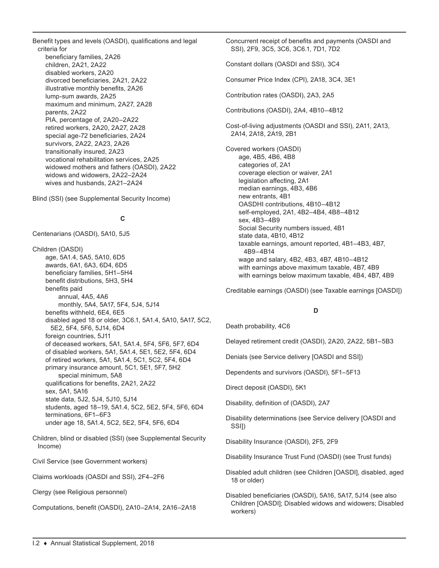Benefit types and levels (OASDI), qualifications and legal criteria for

beneficiary families, 2A26 children, 2A21, 2A22 disabled workers, 2A20 divorced beneficiaries, 2A21, 2A22 illustrative monthly benefits, 2A26 lump-sum awards, 2A25 maximum and minimum, 2A27, 2A28 parents, 2A22 PIA, percentage of, 2A20–2A22 retired workers, 2A20, 2A27, 2A28 special age-72 beneficiaries, 2A24 survivors, 2A22, 2A23, 2A26 transitionally insured, 2A23 vocational rehabilitation services, 2A25 widowed mothers and fathers (OASDI), 2A22 widows and widowers, 2A22–2A24 wives and husbands, 2A21–2A24

Blind (SSI) (see Supplemental Security Income)

# **C**

Centenarians (OASDI), 5A10, 5J5

Children (OASDI) age, 5A1.4, 5A5, 5A10, 6D5 awards, 6A1, 6A3, 6D4, 6D5 beneficiary families, 5H1–5H4 benefit distributions, 5H3, 5H4 benefits paid annual, 4A5, 4A6 monthly, 5A4, 5A17, 5F4, 5J4, 5J14 benefits withheld, 6E4, 6E5 disabled aged 18 or older, 3C6.1, 5A1.4, 5A10, 5A17, 5C2, 5E2, 5F4, 5F6, 5J14, 6D4 foreign countries, 5J11 of deceased workers, 5A1, 5A1.4, 5F4, 5F6, 5F7, 6D4 of disabled workers, 5A1, 5A1.4, 5E1, 5E2, 5F4, 6D4 of retired workers, 5A1, 5A1.4, 5C1, 5C2, 5F4, 6D4 primary insurance amount, 5C1, 5E1, 5F7, 5H2 special minimum, 5A8 qualifications for benefits, 2A21, 2A22 sex, 5A1, 5A16 state data, 5J2, 5J4, 5J10, 5J14 students, aged 18–19, 5A1.4, 5C2, 5E2, 5F4, 5F6, 6D4 terminations, 6F1–6F3 under age 18, 5A1.4, 5C2, 5E2, 5F4, 5F6, 6D4

Children, blind or disabled (SSI) (see Supplemental Security Income)

Civil Service (see Government workers)

Claims workloads (OASDI and SSI), 2F4–2F6

Clergy (see Religious personnel)

Computations, benefit (OASDI), 2A10–2A14, 2A16–2A18

Concurrent receipt of benefits and payments (OASDI and SSI), 2F9, 3C5, 3C6, 3C6.1, 7D1, 7D2

Constant dollars (OASDI and SSI), 3C4

Consumer Price Index (CPI), 2A18, 3C4, 3E1

Contribution rates (OASDI), 2A3, 2A5

Contributions (OASDI), 2A4, 4B10–4B12

Cost-of-living adjustments (OASDI and SSI), 2A11, 2A13, 2A14, 2A18, 2A19, 2B1

Covered workers (OASDI) age, 4B5, 4B6, 4B8 categories of, 2A1 coverage election or waiver, 2A1 legislation affecting, 2A1 median earnings, 4B3, 4B6 new entrants, 4B1 OASDHI contributions, 4B10–4B12 self-employed, 2A1, 4B2–4B4, 4B8–4B12 sex, 4B3–4B9 Social Security numbers issued, 4B1 state data, 4B10, 4B12 taxable earnings, amount reported, 4B1–4B3, 4B7, 4B9–4B14 wage and salary, 4B2, 4B3, 4B7, 4B10–4B12 with earnings above maximum taxable, 4B7, 4B9 with earnings below maximum taxable, 4B4, 4B7, 4B9

Creditable earnings (OASDI) (see Taxable earnings [OASDI])

## **D**

Death probability, 4C6

Delayed retirement credit (OASDI), 2A20, 2A22, 5B1–5B3

Denials (see Service delivery [OASDI and SSI])

Dependents and survivors (OASDI), 5F1–5F13

Direct deposit (OASDI), 5K1

Disability, definition of (OASDI), 2A7

Disability determinations (see Service delivery [OASDI and SSI])

Disability Insurance (OASDI), 2F5, 2F9

Disability Insurance Trust Fund (OASDI) (see Trust funds)

Disabled adult children (see Children [OASDI], disabled, aged 18 or older)

Disabled beneficiaries (OASDI), 5A16, 5A17, 5J14 (see also Children [OASDI]; Disabled widows and widowers; Disabled workers)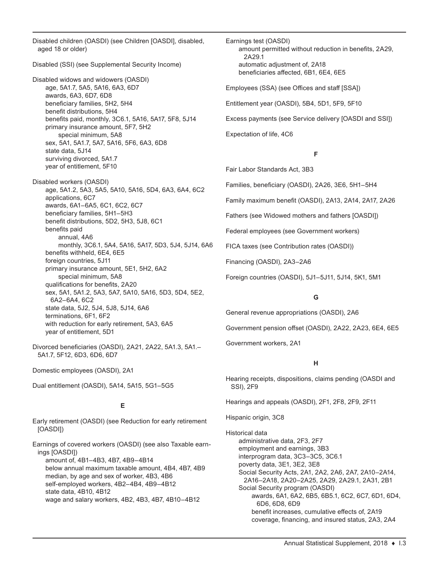Disabled children (OASDI) (see Children [OASDI], disabled, aged 18 or older)

Disabled (SSI) (see Supplemental Security Income)

Disabled widows and widowers (OASDI) age, 5A1.7, 5A5, 5A16, 6A3, 6D7 awards, 6A3, 6D7, 6D8 beneficiary families, 5H2, 5H4 benefit distributions, 5H4 benefits paid, monthly, 3C6.1, 5A16, 5A17, 5F8, 5J14 primary insurance amount, 5F7, 5H2 special minimum, 5A8 sex, 5A1, 5A1.7, 5A7, 5A16, 5F6, 6A3, 6D8 state data, 5J14 surviving divorced, 5A1.7 year of entitlement, 5F10

Disabled workers (OASDI) age, 5A1.2, 5A3, 5A5, 5A10, 5A16, 5D4, 6A3, 6A4, 6C2 applications, 6C7 awards, 6A1–6A5, 6C1, 6C2, 6C7 beneficiary families, 5H1–5H3 benefit distributions, 5D2, 5H3, 5J8, 6C1 benefits paid annual, 4A6 monthly, 3C6.1, 5A4, 5A16, 5A17, 5D3, 5J4, 5J14, 6A6 benefits withheld, 6E4, 6E5 foreign countries, 5J11 primary insurance amount, 5E1, 5H2, 6A2 special minimum, 5A8 qualifications for benefits, 2A20 sex, 5A1, 5A1.2, 5A3, 5A7, 5A10, 5A16, 5D3, 5D4, 5E2, 6A2–6A4, 6C2 state data, 5J2, 5J4, 5J8, 5J14, 6A6 terminations, 6F1, 6F2 with reduction for early retirement, 5A3, 6A5 year of entitlement, 5D1

Divorced beneficiaries (OASDI), 2A21, 2A22, 5A1.3, 5A1.– 5A1.7, 5F12, 6D3, 6D6, 6D7

Domestic employees (OASDI), 2A1

Dual entitlement (OASDI), 5A14, 5A15, 5G1–5G5

# **E**

Early retirement (OASDI) (see Reduction for early retirement [OASDI])

Earnings of covered workers (OASDI) (see also Taxable earnings [OASDI])

amount of, 4B1–4B3, 4B7, 4B9–4B14 below annual maximum taxable amount, 4B4, 4B7, 4B9 median, by age and sex of worker, 4B3, 4B6 self-employed workers, 4B2–4B4, 4B9–4B12 state data, 4B10, 4B12 wage and salary workers, 4B2, 4B3, 4B7, 4B10–4B12

Earnings test (OASDI) amount permitted without reduction in benefits, 2A29, 2A29.1 automatic adjustment of, 2A18 beneficiaries affected, 6B1, 6E4, 6E5 Employees (SSA) (see Offices and staff [SSA])

Entitlement year (OASDI), 5B4, 5D1, 5F9, 5F10

Excess payments (see Service delivery [OASDI and SSI])

Expectation of life, 4C6

## **F**

Fair Labor Standards Act, 3B3

Families, beneficiary (OASDI), 2A26, 3E6, 5H1–5H4

Family maximum benefit (OASDI), 2A13, 2A14, 2A17, 2A26

Fathers (see Widowed mothers and fathers [OASDI])

Federal employees (see Government workers)

FICA taxes (see Contribution rates (OASDI))

Financing (OASDI), 2A3–2A6

Foreign countries (OASDI), 5J1–5J11, 5J14, 5K1, 5M1

## **G**

General revenue appropriations (OASDI), 2A6

Government pension offset (OASDI), 2A22, 2A23, 6E4, 6E5

Government workers, 2A1

## **H**

Hearing receipts, dispositions, claims pending (OASDI and SSI), 2F9

Hearings and appeals (OASDI), 2F1, 2F8, 2F9, 2F11

Hispanic origin, 3C8

Historical data administrative data, 2F3, 2F7 employment and earnings, 3B3 interprogram data, 3C3–3C5, 3C6.1 poverty data, 3E1, 3E2, 3E8 Social Security Acts, 2A1, 2A2, 2A6, 2A7, 2A10–2A14, 2A16–2A18, 2A20–2A25, 2A29, 2A29.1, 2A31, 2B1 Social Security program (OASDI) awards, 6A1, 6A2, 6B5, 6B5.1, 6C2, 6C7, 6D1, 6D4, 6D6, 6D8, 6D9 benefit increases, cumulative effects of, 2A19 coverage, financing, and insured status, 2A3, 2A4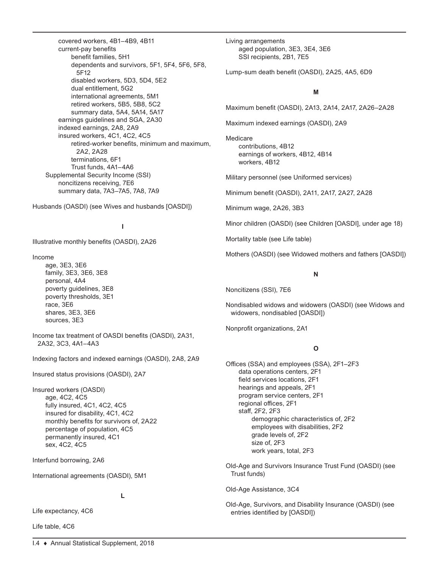covered workers, 4B1–4B9, 4B11 current-pay benefits benefit families, 5H1 dependents and survivors, 5F1, 5F4, 5F6, 5F8, 5F12 disabled workers, 5D3, 5D4, 5E2 dual entitlement, 5G2 international agreements, 5M1 retired workers, 5B5, 5B8, 5C2 summary data, 5A4, 5A14, 5A17 earnings guidelines and SGA, 2A30 indexed earnings, 2A8, 2A9 insured workers, 4C1, 4C2, 4C5 retired-worker benefits, minimum and maximum, 2A2, 2A28 terminations, 6F1 Trust funds, 4A1–4A6 Supplemental Security Income (SSI) noncitizens receiving, 7E6 summary data, 7A3–7A5, 7A8, 7A9

Husbands (OASDI) (see Wives and husbands [OASDI])

# **I**

Illustrative monthly benefits (OASDI), 2A26

Income

age, 3E3, 3E6 family, 3E3, 3E6, 3E8 personal, 4A4 poverty guidelines, 3E8 poverty thresholds, 3E1 race, 3E6 shares, 3E3, 3E6 sources, 3E3

Income tax treatment of OASDI benefits (OASDI), 2A31, 2A32, 3C3, 4A1–4A3

Indexing factors and indexed earnings (OASDI), 2A8, 2A9

Insured status provisions (OASDI), 2A7

Insured workers (OASDI) age, 4C2, 4C5 fully insured, 4C1, 4C2, 4C5 insured for disability, 4C1, 4C2 monthly benefits for survivors of, 2A22 percentage of population, 4C5 permanently insured, 4C1 sex, 4C2, 4C5

Interfund borrowing, 2A6

International agreements (OASDI), 5M1

**L**

Life expectancy, 4C6

Life table, 4C6

Living arrangements aged population, 3E3, 3E4, 3E6 SSI recipients, 2B1, 7E5

Lump-sum death benefit (OASDI), 2A25, 4A5, 6D9

# **M**

Maximum benefit (OASDI), 2A13, 2A14, 2A17, 2A26–2A28

Maximum indexed earnings (OASDI), 2A9

Medicare contributions, 4B12 earnings of workers, 4B12, 4B14 workers, 4B12

Military personnel (see Uniformed services)

Minimum benefit (OASDI), 2A11, 2A17, 2A27, 2A28

Minimum wage, 2A26, 3B3

Minor children (OASDI) (see Children [OASDI], under age 18)

Mortality table (see Life table)

Mothers (OASDI) (see Widowed mothers and fathers [OASDI])

#### **N**

Noncitizens (SSI), 7E6

Nondisabled widows and widowers (OASDI) (see Widows and widowers, nondisabled [OASDI])

Nonprofit organizations, 2A1

## **O**

Offices (SSA) and employees (SSA), 2F1–2F3 data operations centers, 2F1 field services locations, 2F1 hearings and appeals, 2F1 program service centers, 2F1 regional offices, 2F1 staff, 2F2, 2F3 demographic characteristics of, 2F2 employees with disabilities, 2F2 grade levels of, 2F2 size of, 2F3 work years, total, 2F3

Old-Age and Survivors Insurance Trust Fund (OASDI) (see Trust funds)

Old-Age Assistance, 3C4

Old-Age, Survivors, and Disability Insurance (OASDI) (see entries identified by [OASDI])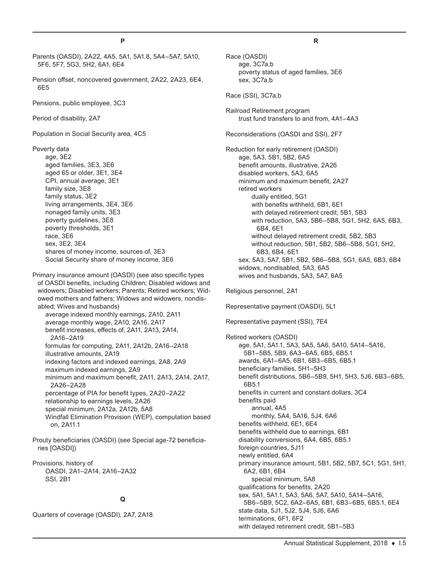Parents (OASDI), 2A22, 4A5, 5A1, 5A1.8, 5A4–5A7, 5A10, 5F6, 5F7, 5G3, 5H2, 6A1, 6E4 Pension offset, noncovered government, 2A22, 2A23, 6E4, 6E5 Pensions, public employee, 3C3 Period of disability, 2A7 Population in Social Security area, 4C5 Poverty data age, 3E2 aged families, 3E3, 3E6 aged 65 or older, 3E1, 3E4 CPI, annual average, 3E1 family size, 3E8 family status, 3E2 living arrangements, 3E4, 3E6 nonaged family units, 3E3 poverty guidelines, 3E8 poverty thresholds, 3E1 race, 3E6 sex, 3E2, 3E4 shares of money income, sources of, 3E3 Social Security share of money income, 3E6 Primary insurance amount (OASDI) (see also specific types of OASDI benefits, including Children; Disabled widows and widowers; Disabled workers; Parents; Retired workers; Widowed mothers and fathers; Widows and widowers, nondisabled; Wives and husbands) average indexed monthly earnings, 2A10, 2A11 average monthly wage, 2A10, 2A16, 2A17 benefit increases, effects of, 2A11, 2A13, 2A14, 2A16–2A19 formulas for computing, 2A11, 2A12b, 2A16–2A18 illustrative amounts, 2A19 indexing factors and indexed earnings, 2A8, 2A9 maximum indexed earnings, 2A9 minimum and maximum benefit, 2A11, 2A13, 2A14, 2A17, 2A26–2A28 percentage of PIA for benefit types, 2A20–2A22 relationship to earnings levels, 2A26 special minimum, 2A12a, 2A12b, 5A8 Windfall Elimination Provision (WEP), computation based on, 2A11.1 Prouty beneficiaries (OASDI) (see Special age-72 beneficiaries [OASDI]) Provisions, history of OASDI, 2A1–2A14, 2A16–2A32 SSI, 2B1 **Q**

Quarters of coverage (OASDI), 2A7, 2A18

#### **R**

Race (OASDI) age, 3C7a,b poverty status of aged families, 3E6 sex, 3C7a,b

Race (SSI), 3C7a,b

Railroad Retirement program trust fund transfers to and from, 4A1–4A3

Reconsiderations (OASDI and SSI), 2F7

Reduction for early retirement (OASDI) age, 5A3, 5B1, 5B2, 6A5 benefit amounts, illustrative, 2A26 disabled workers, 5A3, 6A5 minimum and maximum benefit, 2A27 retired workers dually entitled, 5G1 with benefits withheld, 6B1, 6E1 with delayed retirement credit, 5B1, 5B3 with reduction, 5A3, 5B6–5B8, 5G1, 5H2, 6A5, 6B3, 6B4, 6E1 without delayed retirement credit, 5B2, 5B3 without reduction, 5B1, 5B2, 5B6–5B8, 5G1, 5H2, 6B3, 6B4, 6E1 sex, 5A3, 5A7, 5B1, 5B2, 5B6–5B8, 5G1, 6A5, 6B3, 6B4 widows, nondisabled, 5A3, 6A5 wives and husbands, 5A3, 5A7, 6A5

Religious personnel, 2A1

Representative payment (OASDI), 5L1 Representative payment (SSI), 7E4

Retired workers (OASDI) age, 5A1, 5A1.1, 5A3, 5A5, 5A6, 5A10, 5A14–5A16, 5B1–5B5, 5B9, 6A3–6A5, 6B5, 6B5.1 awards, 6A1–6A5, 6B1, 6B3–6B5, 6B5.1 beneficiary families, 5H1–5H3 benefit distributions, 5B6–5B9, 5H1, 5H3, 5J6, 6B3–6B5, 6B5.1 benefits in current and constant dollars, 3C4 benefits paid annual, 4A5 monthly, 5A4, 5A16, 5J4, 6A6 benefits withheld, 6E1, 6E4 benefits withheld due to earnings, 6B1 disability conversions, 6A4, 6B5, 6B5.1 foreign countries, 5J11 newly entitled, 6A4 primary insurance amount, 5B1, 5B2, 5B7, 5C1, 5G1, 5H1, 6A2, 6B1, 6B4 special minimum, 5A8 qualifications for benefits, 2A20 sex, 5A1, 5A1.1, 5A3, 5A6, 5A7, 5A10, 5A14–5A16, 5B6–5B9, 5C2, 6A2–6A5, 6B1, 6B3–6B5, 6B5.1, 6E4 state data, 5J1, 5J2, 5J4, 5J6, 6A6 terminations, 6F1, 6F2 with delayed retirement credit, 5B1–5B3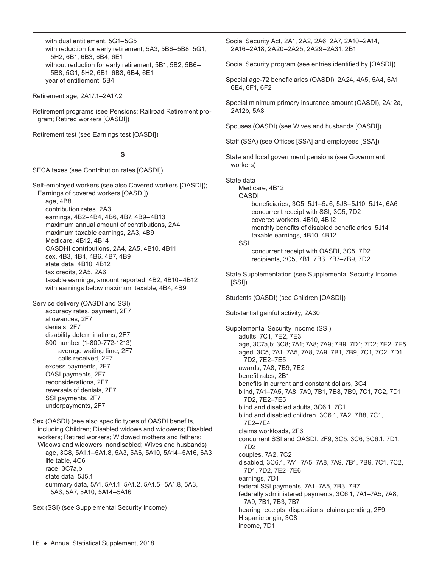with dual entitlement, 5G1–5G5 with reduction for early retirement, 5A3, 5B6–5B8, 5G1, 5H2, 6B1, 6B3, 6B4, 6E1 without reduction for early retirement, 5B1, 5B2, 5B6– 5B8, 5G1, 5H2, 6B1, 6B3, 6B4, 6E1 year of entitlement, 5B4

Retirement age, 2A17.1–2A17.2

Retirement programs (see Pensions; Railroad Retirement program; Retired workers [OASDI])

Retirement test (see Earnings test [OASDI])

# **S**

SECA taxes (see Contribution rates [OASDI])

Self-employed workers (see also Covered workers [OASDI]); Earnings of covered workers [OASDI]) age, 4B8 contribution rates, 2A3 earnings, 4B2–4B4, 4B6, 4B7, 4B9–4B13 maximum annual amount of contributions, 2A4 maximum taxable earnings, 2A3, 4B9 Medicare, 4B12, 4B14 OASDHI contributions, 2A4, 2A5, 4B10, 4B11 sex, 4B3, 4B4, 4B6, 4B7, 4B9 state data, 4B10, 4B12 tax credits, 2A5, 2A6 taxable earnings, amount reported, 4B2, 4B10–4B12 with earnings below maximum taxable, 4B4, 4B9

Service delivery (OASDI and SSI)

accuracy rates, payment, 2F7 allowances, 2F7 denials, 2F7 disability determinations, 2F7 800 number (1-800-772-1213) average waiting time, 2F7 calls received, 2F7 excess payments, 2F7 OASI payments, 2F7 reconsiderations, 2F7 reversals of denials, 2F7 SSI payments, 2F7 underpayments, 2F7

Sex (OASDI) (see also specific types of OASDI benefits, including Children; Disabled widows and widowers; Disabled workers; Retired workers; Widowed mothers and fathers; Widows and widowers, nondisabled; Wives and husbands) age, 3C8, 5A1.1–5A1.8, 5A3, 5A6, 5A10, 5A14–5A16, 6A3 life table, 4C6 race, 3C7a,b state data, 5J5.1 summary data, 5A1, 5A1.1, 5A1.2, 5A1.5–5A1.8, 5A3, 5A6, 5A7, 5A10, 5A14–5A16

Sex (SSI) (see Supplemental Security Income)

Social Security Act, 2A1, 2A2, 2A6, 2A7, 2A10–2A14, 2A16–2A18, 2A20–2A25, 2A29–2A31, 2B1

Social Security program (see entries identified by [OASDI])

Special age-72 beneficiaries (OASDI), 2A24, 4A5, 5A4, 6A1, 6E4, 6F1, 6F2

Special minimum primary insurance amount (OASDI), 2A12a, 2A12b, 5A8

Spouses (OASDI) (see Wives and husbands [OASDI])

Staff (SSA) (see Offices [SSA] and employees [SSA])

State and local government pensions (see Government workers)

State data

Medicare, 4B12

OASDI beneficiaries, 3C5, 5J1–5J6, 5J8–5J10, 5J14, 6A6 concurrent receipt with SSI, 3C5, 7D2 covered workers, 4B10, 4B12 monthly benefits of disabled beneficiaries, 5J14 taxable earnings, 4B10, 4B12

SSI

concurrent receipt with OASDI, 3C5, 7D2 recipients, 3C5, 7B1, 7B3, 7B7–7B9, 7D2

State Supplementation (see Supplemental Security Income [SSI])

Students (OASDI) (see Children [OASDI])

Substantial gainful activity, 2A30

Supplemental Security Income (SSI) adults, 7C1, 7E2, 7E3 age, 3C7a,b; 3C8; 7A1; 7A8; 7A9; 7B9; 7D1; 7D2; 7E2–7E5 aged, 3C5, 7A1–7A5, 7A8, 7A9, 7B1, 7B9, 7C1, 7C2, 7D1, 7D2, 7E2–7E5 awards, 7A8, 7B9, 7E2 benefit rates, 2B1 benefits in current and constant dollars, 3C4 blind, 7A1–7A5, 7A8, 7A9, 7B1, 7B8, 7B9, 7C1, 7C2, 7D1, 7D2, 7E2–7E5 blind and disabled adults, 3C6.1, 7C1 blind and disabled children, 3C6.1, 7A2, 7B8, 7C1, 7E2–7E4 claims workloads, 2F6 concurrent SSI and OASDI, 2F9, 3C5, 3C6, 3C6.1, 7D1, 7D2 couples, 7A2, 7C2 disabled, 3C6.1, 7A1–7A5, 7A8, 7A9, 7B1, 7B9, 7C1, 7C2, 7D1, 7D2, 7E2–7E6 earnings, 7D1 federal SSI payments, 7A1–7A5, 7B3, 7B7 federally administered payments, 3C6.1, 7A1–7A5, 7A8, 7A9, 7B1, 7B3, 7B7 hearing receipts, dispositions, claims pending, 2F9 Hispanic origin, 3C8 income, 7D1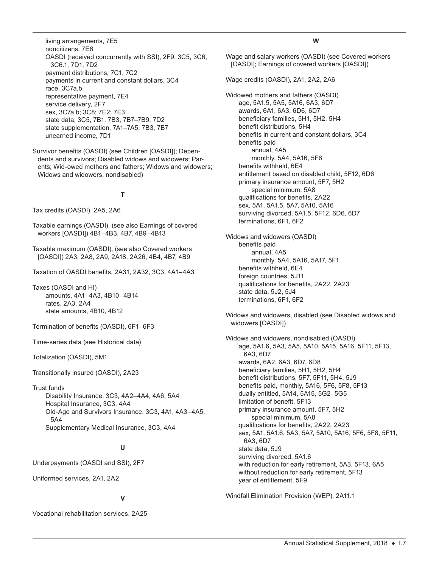living arrangements, 7E5 noncitizens, 7E6 OASDI (received concurrently with SSI), 2F9, 3C5, 3C6, 3C6.1, 7D1, 7D2 payment distributions, 7C1, 7C2 payments in current and constant dollars, 3C4 race, 3C7a,b representative payment, 7E4 service delivery, 2F7 sex, 3C7a,b; 3C8; 7E2; 7E3 state data, 3C5, 7B1, 7B3, 7B7–7B9, 7D2 state supplementation, 7A1–7A5, 7B3, 7B7 unearned income, 7D1

Survivor benefits (OASDI) (see Children [OASDI]); Dependents and survivors; Disabled widows and widowers; Parents; Wid-owed mothers and fathers; Widows and widowers; Widows and widowers, nondisabled)

# **T**

Tax credits (OASDI), 2A5, 2A6

Taxable earnings (OASDI), (see also Earnings of covered workers [OASDI]) 4B1–4B3, 4B7, 4B9–4B13

Taxable maximum (OASDI), (see also Covered workers [OASDI]) 2A3, 2A8, 2A9, 2A18, 2A26, 4B4, 4B7, 4B9

Taxation of OASDI benefits, 2A31, 2A32, 3C3, 4A1–4A3

Taxes (OASDI and HI) amounts, 4A1–4A3, 4B10–4B14 rates, 2A3, 2A4 state amounts, 4B10, 4B12

Termination of benefits (OASDI), 6F1–6F3

Time-series data (see Historical data)

Totalization (OASDI), 5M1

Transitionally insured (OASDI), 2A23

Trust funds

Disability Insurance, 3C3, 4A2–4A4, 4A6, 5A4 Hospital Insurance, 3C3, 4A4 Old-Age and Survivors Insurance, 3C3, 4A1, 4A3–4A5, 5A4 Supplementary Medical Insurance, 3C3, 4A4

#### **U**

Underpayments (OASDI and SSI), 2F7

Uniformed services, 2A1, 2A2

#### **V**

Vocational rehabilitation services, 2A25

#### **W**

Wage and salary workers (OASDI) (see Covered workers [OASDI]; Earnings of covered workers [OASDI])

Wage credits (OASDI), 2A1, 2A2, 2A6

Widowed mothers and fathers (OASDI) age, 5A1.5, 5A5, 5A16, 6A3, 6D7 awards, 6A1, 6A3, 6D6, 6D7 beneficiary families, 5H1, 5H2, 5H4 benefit distributions, 5H4 benefits in current and constant dollars, 3C4 benefits paid annual, 4A5 monthly, 5A4, 5A16, 5F6 benefits withheld, 6E4 entitlement based on disabled child, 5F12, 6D6 primary insurance amount, 5F7, 5H2 special minimum, 5A8 qualifications for benefits, 2A22 sex, 5A1, 5A1.5, 5A7, 5A10, 5A16 surviving divorced, 5A1.5, 5F12, 6D6, 6D7 terminations, 6F1, 6F2

Widows and widowers (OASDI) benefits paid annual, 4A5 monthly, 5A4, 5A16, 5A17, 5F1 benefits withheld, 6E4 foreign countries, 5J11 qualifications for benefits, 2A22, 2A23 state data, 5J2, 5J4 terminations, 6F1, 6F2

Widows and widowers, disabled (see Disabled widows and widowers [OASDI])

Widows and widowers, nondisabled (OASDI) age, 5A1.6, 5A3, 5A5, 5A10, 5A15, 5A16, 5F11, 5F13, 6A3, 6D7 awards, 6A2, 6A3, 6D7, 6D8 beneficiary families, 5H1, 5H2, 5H4 benefit distributions, 5F7, 5F11, 5H4, 5J9 benefits paid, monthly, 5A16, 5F6, 5F8, 5F13 dually entitled, 5A14, 5A15, 5G2–5G5 limitation of benefit, 5F13 primary insurance amount, 5F7, 5H2 special minimum, 5A8 qualifications for benefits, 2A22, 2A23 sex, 5A1, 5A1.6, 5A3, 5A7, 5A10, 5A16, 5F6, 5F8, 5F11, 6A3, 6D7 state data, 5J9 surviving divorced, 5A1.6 with reduction for early retirement, 5A3, 5F13, 6A5 without reduction for early retirement, 5F13 year of entitlement, 5F9

Windfall Elimination Provision (WEP), 2A11.1